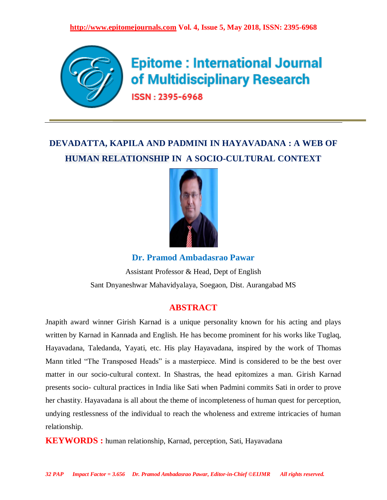

# **Epitome: International Journal** of Multidisciplinary Research

ISSN: 2395-6968

# **DEVADATTA, KAPILA AND PADMINI IN HAYAVADANA : A WEB OF HUMAN RELATIONSHIP IN A SOCIO-CULTURAL CONTEXT**



**Dr. Pramod Ambadasrao Pawar**

Assistant Professor & Head, Dept of English Sant Dnyaneshwar Mahavidyalaya, Soegaon, Dist. Aurangabad MS

# **ABSTRACT**

Jnapith award winner Girish Karnad is a unique personality known for his acting and plays written by Karnad in Kannada and English. He has become prominent for his works like Tuglaq, Hayavadana, Taledanda, Yayati, etc. His play Hayavadana, inspired by the work of Thomas Mann titled "The Transposed Heads" is a masterpiece. Mind is considered to be the best over matter in our socio-cultural context. In Shastras, the head epitomizes a man. Girish Karnad presents socio- cultural practices in India like Sati when Padmini commits Sati in order to prove her chastity. Hayavadana is all about the theme of incompleteness of human quest for perception, undying restlessness of the individual to reach the wholeness and extreme intricacies of human relationship.

**KEYWORDS :** human relationship, Karnad, perception, Sati, Hayavadana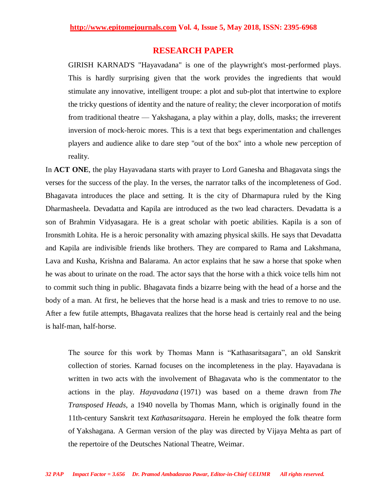### **RESEARCH PAPER**

GIRISH KARNAD'S "Hayavadana" is one of the playwright's most-performed plays. This is hardly surprising given that the work provides the ingredients that would stimulate any innovative, intelligent troupe: a plot and sub-plot that intertwine to explore the tricky questions of identity and the nature of reality; the clever incorporation of motifs from traditional theatre — Yakshagana, a play within a play, dolls, masks; the irreverent inversion of mock-heroic mores. This is a text that begs experimentation and challenges players and audience alike to dare step "out of the box" into a whole new perception of reality.

In **ACT ONE**, the play Hayavadana starts with prayer to Lord Ganesha and Bhagavata sings the verses for the success of the play. In the verses, the narrator talks of the incompleteness of God. Bhagavata introduces the place and setting. It is the city of Dharmapura ruled by the King Dharmasheela. Devadatta and Kapila are introduced as the two lead characters. Devadatta is a son of Brahmin Vidyasagara. He is a great scholar with poetic abilities. Kapila is a son of Ironsmith Lohita. He is a heroic personality with amazing physical skills. He says that Devadatta and Kapila are indivisible friends like brothers. They are compared to Rama and Lakshmana, Lava and Kusha, Krishna and Balarama. An actor explains that he saw a horse that spoke when he was about to urinate on the road. The actor says that the horse with a thick voice tells him not to commit such thing in public. Bhagavata finds a bizarre being with the head of a horse and the body of a man. At first, he believes that the horse head is a mask and tries to remove to no use. After a few futile attempts, Bhagavata realizes that the horse head is certainly real and the being is half-man, half-horse.

The source for this work by Thomas Mann is "Kathasaritsagara", an old Sanskrit collection of stories. Karnad focuses on the incompleteness in the play. Hayavadana is written in two acts with the involvement of Bhagavata who is the commentator to the actions in the play. *Hayavadana* (1971) was based on a theme drawn from *The Transposed Heads*, a 1940 novella by [Thomas Mann,](https://en.wikipedia.org/wiki/Thomas_Mann) which is originally found in the 11th-century Sanskrit text *[Kathasaritsagara](https://en.wikipedia.org/wiki/Kathasaritsagara)*. Herein he employed the folk theatre form of [Yakshagana.](https://en.wikipedia.org/wiki/Yakshagana) A German version of the play was directed by [Vijaya Mehta](https://en.wikipedia.org/wiki/Vijaya_Mehta) as part of the repertoire of the [Deutsches National Theatre, Weimar.](https://en.wikipedia.org/wiki/Deutsches_Nationaltheater_and_Staatskapelle_Weimar)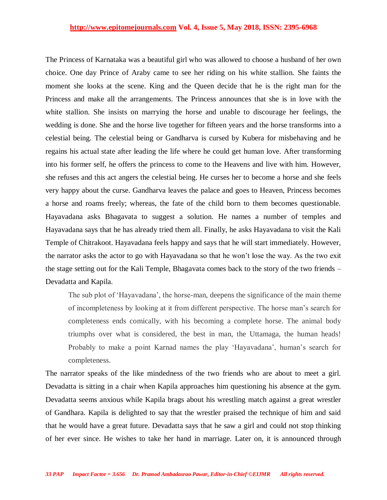The Princess of Karnataka was a beautiful girl who was allowed to choose a husband of her own choice. One day Prince of Araby came to see her riding on his white stallion. She faints the moment she looks at the scene. King and the Queen decide that he is the right man for the Princess and make all the arrangements. The Princess announces that she is in love with the white stallion. She insists on marrying the horse and unable to discourage her feelings, the wedding is done. She and the horse live together for fifteen years and the horse transforms into a celestial being. The celestial being or Gandharva is cursed by Kubera for misbehaving and he regains his actual state after leading the life where he could get human love. After transforming into his former self, he offers the princess to come to the Heavens and live with him. However, she refuses and this act angers the celestial being. He curses her to become a horse and she feels very happy about the curse. Gandharva leaves the palace and goes to Heaven, Princess becomes a horse and roams freely; whereas, the fate of the child born to them becomes questionable. Hayavadana asks Bhagavata to suggest a solution. He names a number of temples and Hayavadana says that he has already tried them all. Finally, he asks Hayavadana to visit the Kali Temple of Chitrakoot. Hayavadana feels happy and says that he will start immediately. However, the narrator asks the actor to go with Hayavadana so that he won't lose the way. As the two exit the stage setting out for the Kali Temple, Bhagavata comes back to the story of the two friends – Devadatta and Kapila.

The sub plot of 'Hayavadana', the horse-man, deepens the significance of the main theme of incompleteness by looking at it from different perspective. The horse man's search for completeness ends comically, with his becoming a complete horse. The animal body triumphs over what is considered, the best in man, the Uttamaga, the human heads! Probably to make a point Karnad names the play 'Hayavadana', human's search for completeness.

The narrator speaks of the like mindedness of the two friends who are about to meet a girl. Devadatta is sitting in a chair when Kapila approaches him questioning his absence at the gym. Devadatta seems anxious while Kapila brags about his wrestling match against a great wrestler of Gandhara. Kapila is delighted to say that the wrestler praised the technique of him and said that he would have a great future. Devadatta says that he saw a girl and could not stop thinking of her ever since. He wishes to take her hand in marriage. Later on, it is announced through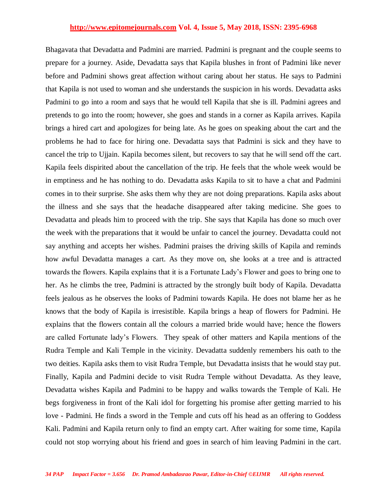Bhagavata that Devadatta and Padmini are married. Padmini is pregnant and the couple seems to prepare for a journey. Aside, Devadatta says that Kapila blushes in front of Padmini like never before and Padmini shows great affection without caring about her status. He says to Padmini that Kapila is not used to woman and she understands the suspicion in his words. Devadatta asks Padmini to go into a room and says that he would tell Kapila that she is ill. Padmini agrees and pretends to go into the room; however, she goes and stands in a corner as Kapila arrives. Kapila brings a hired cart and apologizes for being late. As he goes on speaking about the cart and the problems he had to face for hiring one. Devadatta says that Padmini is sick and they have to cancel the trip to Ujjain. Kapila becomes silent, but recovers to say that he will send off the cart. Kapila feels dispirited about the cancellation of the trip. He feels that the whole week would be in emptiness and he has nothing to do. Devadatta asks Kapila to sit to have a chat and Padmini comes in to their surprise. She asks them why they are not doing preparations. Kapila asks about the illness and she says that the headache disappeared after taking medicine. She goes to Devadatta and pleads him to proceed with the trip. She says that Kapila has done so much over the week with the preparations that it would be unfair to cancel the journey. Devadatta could not say anything and accepts her wishes. Padmini praises the driving skills of Kapila and reminds how awful Devadatta manages a cart. As they move on, she looks at a tree and is attracted towards the flowers. Kapila explains that it is a Fortunate Lady's Flower and goes to bring one to her. As he climbs the tree, Padmini is attracted by the strongly built body of Kapila. Devadatta feels jealous as he observes the looks of Padmini towards Kapila. He does not blame her as he knows that the body of Kapila is irresistible. Kapila brings a heap of flowers for Padmini. He explains that the flowers contain all the colours a married bride would have; hence the flowers are called Fortunate lady's Flowers. They speak of other matters and Kapila mentions of the Rudra Temple and Kali Temple in the vicinity. Devadatta suddenly remembers his oath to the two deities. Kapila asks them to visit Rudra Temple, but Devadatta insists that he would stay put. Finally, Kapila and Padmini decide to visit Rudra Temple without Devadatta. As they leave, Devadatta wishes Kapila and Padmini to be happy and walks towards the Temple of Kali. He begs forgiveness in front of the Kali idol for forgetting his promise after getting married to his love - Padmini. He finds a sword in the Temple and cuts off his head as an offering to Goddess Kali. Padmini and Kapila return only to find an empty cart. After waiting for some time, Kapila could not stop worrying about his friend and goes in search of him leaving Padmini in the cart.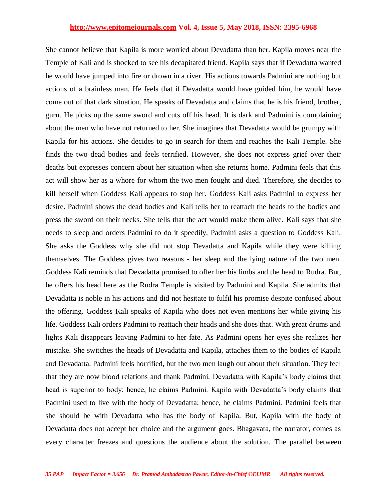She cannot believe that Kapila is more worried about Devadatta than her. Kapila moves near the Temple of Kali and is shocked to see his decapitated friend. Kapila says that if Devadatta wanted he would have jumped into fire or drown in a river. His actions towards Padmini are nothing but actions of a brainless man. He feels that if Devadatta would have guided him, he would have come out of that dark situation. He speaks of Devadatta and claims that he is his friend, brother, guru. He picks up the same sword and cuts off his head. It is dark and Padmini is complaining about the men who have not returned to her. She imagines that Devadatta would be grumpy with Kapila for his actions. She decides to go in search for them and reaches the Kali Temple. She finds the two dead bodies and feels terrified. However, she does not express grief over their deaths but expresses concern about her situation when she returns home. Padmini feels that this act will show her as a whore for whom the two men fought and died. Therefore, she decides to kill herself when Goddess Kali appears to stop her. Goddess Kali asks Padmini to express her desire. Padmini shows the dead bodies and Kali tells her to reattach the heads to the bodies and press the sword on their necks. She tells that the act would make them alive. Kali says that she needs to sleep and orders Padmini to do it speedily. Padmini asks a question to Goddess Kali. She asks the Goddess why she did not stop Devadatta and Kapila while they were killing themselves. The Goddess gives two reasons - her sleep and the lying nature of the two men. Goddess Kali reminds that Devadatta promised to offer her his limbs and the head to Rudra. But, he offers his head here as the Rudra Temple is visited by Padmini and Kapila. She admits that Devadatta is noble in his actions and did not hesitate to fulfil his promise despite confused about the offering. Goddess Kali speaks of Kapila who does not even mentions her while giving his life. Goddess Kali orders Padmini to reattach their heads and she does that. With great drums and lights Kali disappears leaving Padmini to her fate. As Padmini opens her eyes she realizes her mistake. She switches the heads of Devadatta and Kapila, attaches them to the bodies of Kapila and Devadatta. Padmini feels horrified, but the two men laugh out about their situation. They feel that they are now blood relations and thank Padmini. Devadatta with Kapila's body claims that head is superior to body; hence, he claims Padmini. Kapila with Devadatta's body claims that Padmini used to live with the body of Devadatta; hence, he claims Padmini. Padmini feels that she should be with Devadatta who has the body of Kapila. But, Kapila with the body of Devadatta does not accept her choice and the argument goes. Bhagavata, the narrator, comes as every character freezes and questions the audience about the solution. The parallel between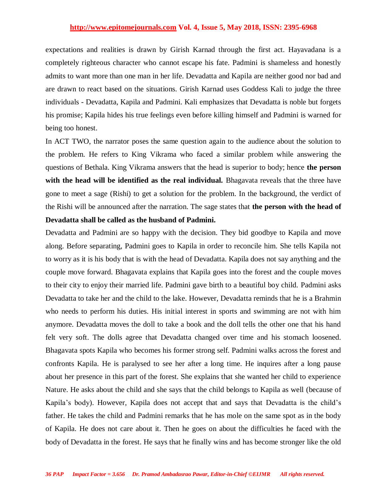expectations and realities is drawn by Girish Karnad through the first act. Hayavadana is a completely righteous character who cannot escape his fate. Padmini is shameless and honestly admits to want more than one man in her life. Devadatta and Kapila are neither good nor bad and are drawn to react based on the situations. Girish Karnad uses Goddess Kali to judge the three individuals - Devadatta, Kapila and Padmini. Kali emphasizes that Devadatta is noble but forgets his promise; Kapila hides his true feelings even before killing himself and Padmini is warned for being too honest.

In ACT TWO, the narrator poses the same question again to the audience about the solution to the problem. He refers to King Vikrama who faced a similar problem while answering the questions of Bethala. King Vikrama answers that the head is superior to body; hence **the person with the head will be identified as the real individual.** Bhagavata reveals that the three have gone to meet a sage (Rishi) to get a solution for the problem. In the background, the verdict of the Rishi will be announced after the narration. The sage states that **the person with the head of Devadatta shall be called as the husband of Padmini.**

Devadatta and Padmini are so happy with the decision. They bid goodbye to Kapila and move along. Before separating, Padmini goes to Kapila in order to reconcile him. She tells Kapila not to worry as it is his body that is with the head of Devadatta. Kapila does not say anything and the couple move forward. Bhagavata explains that Kapila goes into the forest and the couple moves to their city to enjoy their married life. Padmini gave birth to a beautiful boy child. Padmini asks Devadatta to take her and the child to the lake. However, Devadatta reminds that he is a Brahmin who needs to perform his duties. His initial interest in sports and swimming are not with him anymore. Devadatta moves the doll to take a book and the doll tells the other one that his hand felt very soft. The dolls agree that Devadatta changed over time and his stomach loosened. Bhagavata spots Kapila who becomes his former strong self. Padmini walks across the forest and confronts Kapila. He is paralysed to see her after a long time. He inquires after a long pause about her presence in this part of the forest. She explains that she wanted her child to experience Nature. He asks about the child and she says that the child belongs to Kapila as well (because of Kapila's body). However, Kapila does not accept that and says that Devadatta is the child's father. He takes the child and Padmini remarks that he has mole on the same spot as in the body of Kapila. He does not care about it. Then he goes on about the difficulties he faced with the body of Devadatta in the forest. He says that he finally wins and has become stronger like the old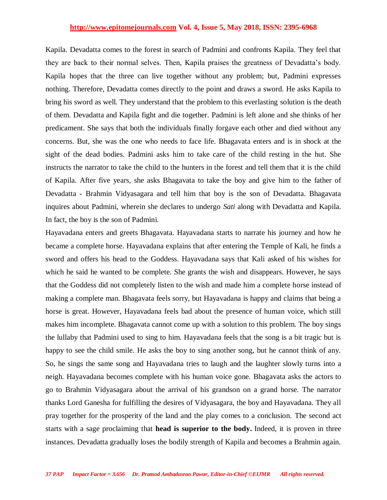Kapila. Devadatta comes to the forest in search of Padmini and confronts Kapila. They feel that they are back to their normal selves. Then, Kapila praises the greatness of Devadatta's body. Kapila hopes that the three can live together without any problem; but, Padmini expresses nothing. Therefore, Devadatta comes directly to the point and draws a sword. He asks Kapila to bring his sword as well. They understand that the problem to this everlasting solution is the death of them. Devadatta and Kapila fight and die together. Padmini is left alone and she thinks of her predicament. She says that both the individuals finally forgave each other and died without any concerns. But, she was the one who needs to face life. Bhagavata enters and is in shock at the sight of the dead bodies. Padmini asks him to take care of the child resting in the hut. She instructs the narrator to take the child to the hunters in the forest and tell them that it is the child of Kapila. After five years, she asks Bhagavata to take the boy and give him to the father of Devadatta - Brahmin Vidyasagara and tell him that boy is the son of Devadatta. Bhagavata inquires about Padmini, wherein she declares to undergo *Sati* along with Devadatta and Kapila. In fact, the boy is the son of Padmini.

Hayavadana enters and greets Bhagavata. Hayavadana starts to narrate his journey and how he became a complete horse. Hayavadana explains that after entering the Temple of Kali, he finds a sword and offers his head to the Goddess. Hayavadana says that Kali asked of his wishes for which he said he wanted to be complete. She grants the wish and disappears. However, he says that the Goddess did not completely listen to the wish and made him a complete horse instead of making a complete man. Bhagavata feels sorry, but Hayavadana is happy and claims that being a horse is great. However, Hayavadana feels bad about the presence of human voice, which still makes him incomplete. Bhagavata cannot come up with a solution to this problem. The boy sings the lullaby that Padmini used to sing to him. Hayavadana feels that the song is a bit tragic but is happy to see the child smile. He asks the boy to sing another song, but he cannot think of any. So, he sings the same song and Hayavadana tries to laugh and the laughter slowly turns into a neigh. Hayavadana becomes complete with his human voice gone. Bhagavata asks the actors to go to Brahmin Vidyasagara about the arrival of his grandson on a grand horse. The narrator thanks Lord Ganesha for fulfilling the desires of Vidyasagara, the boy and Hayavadana. They all pray together for the prosperity of the land and the play comes to a conclusion. The second act starts with a sage proclaiming that **head is superior to the body.** Indeed, it is proven in three instances. Devadatta gradually loses the bodily strength of Kapila and becomes a Brahmin again.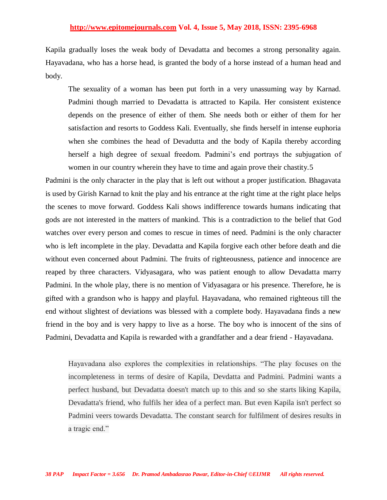Kapila gradually loses the weak body of Devadatta and becomes a strong personality again. Hayavadana, who has a horse head, is granted the body of a horse instead of a human head and body.

The sexuality of a woman has been put forth in a very unassuming way by Karnad. Padmini though married to Devadatta is attracted to Kapila. Her consistent existence depends on the presence of either of them. She needs both or either of them for her satisfaction and resorts to Goddess Kali. Eventually, she finds herself in intense euphoria when she combines the head of Devadutta and the body of Kapila thereby according herself a high degree of sexual freedom. Padmini's end portrays the subjugation of women in our country wherein they have to time and again prove their chastity.5

Padmini is the only character in the play that is left out without a proper justification. Bhagavata is used by Girish Karnad to knit the play and his entrance at the right time at the right place helps the scenes to move forward. Goddess Kali shows indifference towards humans indicating that gods are not interested in the matters of mankind. This is a contradiction to the belief that God watches over every person and comes to rescue in times of need. Padmini is the only character who is left incomplete in the play. Devadatta and Kapila forgive each other before death and die without even concerned about Padmini. The fruits of righteousness, patience and innocence are reaped by three characters. Vidyasagara, who was patient enough to allow Devadatta marry Padmini. In the whole play, there is no mention of Vidyasagara or his presence. Therefore, he is gifted with a grandson who is happy and playful. Hayavadana, who remained righteous till the end without slightest of deviations was blessed with a complete body. Hayavadana finds a new friend in the boy and is very happy to live as a horse. The boy who is innocent of the sins of Padmini, Devadatta and Kapila is rewarded with a grandfather and a dear friend - Hayavadana.

Hayavadana also explores the complexities in relationships. "The play focuses on the incompleteness in terms of desire of Kapila, Devdatta and Padmini. Padmini wants a perfect husband, but Devadatta doesn't match up to this and so she starts liking Kapila, Devadatta's friend, who fulfils her idea of a perfect man. But even Kapila isn't perfect so Padmini veers towards Devadatta. The constant search for fulfilment of desires results in a tragic end."